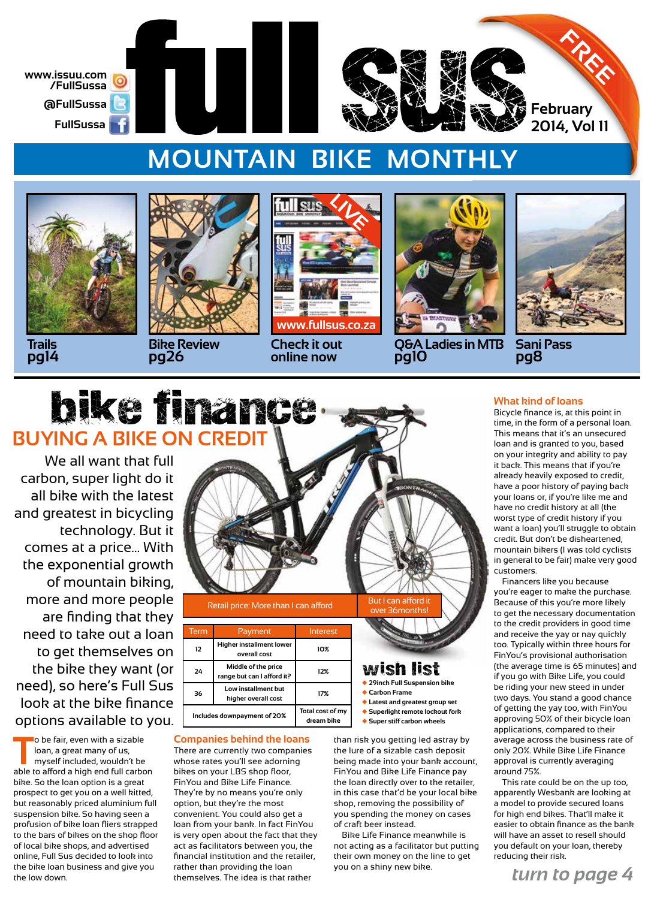

## **MOUNTAIN BIKE MONTHLY**



**Trails pg14**



**Bike Review pg26**



**Check it out online now**



**Q&A Ladies in MTB pg10**



**Sani Pass pg8**

# bike finance **BUYING A BIKE ON CREDIT**

We all want that full carbon, super light do it all bike with the latest and greatest in bicycling technology. But it comes at a price… With the exponential growth of mountain biking, more and more people are finding that they need to take out a loan to get themselves on the bike they want (or need), so here's Full Sus look at the bike finance options available to you.

**T** o be fair, even with a sizable loan, a great many of us, myself included, wouldn't be able to afford a high end full carbon bike. So the loan option is a great prospect to get you on a well kitted, but reasonably priced aluminium full suspension bike. So having seen a profusion of bike loan fliers strapped to the bars of bikes on the shop floor of local bike shops, and advertised online, Full Sus decided to look into the bike loan business and give you the low down.



| lerm                        | Payment                                           | Interest                       |
|-----------------------------|---------------------------------------------------|--------------------------------|
| 12                          | Higher installment lower<br>overall cost          | 10%                            |
| 24                          | Middle of the price<br>range but can I afford it? | 12%                            |
| 36                          | Low installment but<br>higher overall cost        | 17%                            |
| Includes downpayment of 20% |                                                   | Total cost of my<br>dream bike |

#### **Companies behind the loans**

There are currently two companies whose rates you'll see adorning bikes on your LBS shop floor, FinYou and Bike Life Finance. They're by no means you're only option, but they're the most convenient. You could also get a loan from your bank. In fact FinYou is very open about the fact that they act as facilitators between you, the financial institution and the retailer, rather than providing the loan themselves. The idea is that rather

### wish list

- 
- 
- ◆ **Latest and greatest group set** ◆ **Superlight remote lockout fork**
- ◆ **Super stiff carbon wheels**

than risk you getting led astray by the lure of a sizable cash deposit being made into your bank account, FinYou and Bike Life Finance pay the loan directly over to the retailer, in this case that'd be your local bike shop, removing the possibility of you spending the money on cases of craft beer instead.

Bike Life Finance meanwhile is not acting as a facilitator but putting their own money on the line to get you on a shiny new bike.

### **What kind of loans**

Bicycle finance is, at this point in time, in the form of a personal loan. This means that it's an unsecured loan and is granted to you, based on your integrity and ability to pay it back. This means that if you're already heavily exposed to credit, have a poor history of paying back your loans or, if you're like me and have no credit history at all (the worst type of credit history if you want a loan) you'll struggle to obtain credit. But don't be disheartened, mountain bikers (I was told cyclists in general to be fair) make very good customers.

Financers like you because you're eager to make the purchase. Because of this you're more likely to get the necessary documentation to the credit providers in good time and receive the yay or nay quickly too. Typically within three hours for FinYou's provisional authorisation (the average time is 65 minutes) and if you go with Bike Life, you could be riding your new steed in under two days. You stand a good chance of getting the yay too, with FinYou approving 50% of their bicycle loan applications, compared to their average across the business rate of only 20%. While Bike Life Finance approval is currently averaging around 75%.

This rate could be on the up too, apparently Wesbank are looking at a model to provide secured loans for high end bikes. That'll make it easier to obtain finance as the bank will have an asset to resell should you default on your loan, thereby reducing their risk.